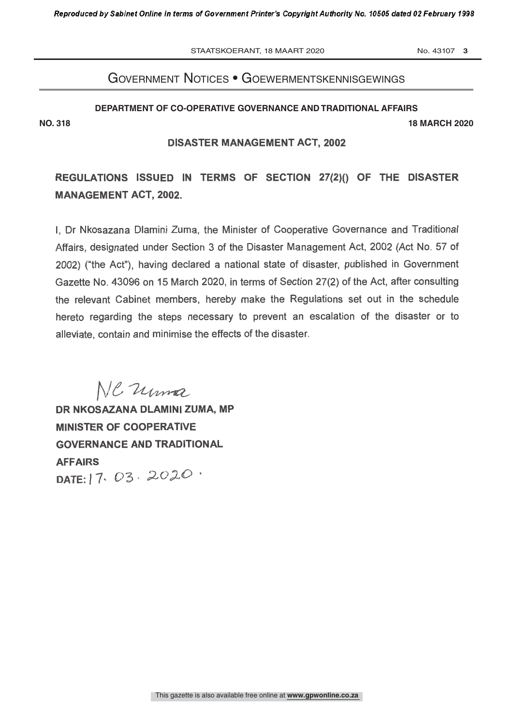STAATSKOERANT, 18 MAART 2020 No. 43107 3

# Government notices • GoewermentskennisGewinGs

#### **DEPARTMENT OF CO-OPERATIVE GOVERNANCE AND TRADITIONAL AFFAIRS**

**NO. 318 18 MARCH 2020**

## DISASTER MANAGEMENT ACT, 2002

REGULATIONS ISSUED IN TERMS OF SECTION 27(2)() OF THE DISASTER MANAGEMENT ACT, 2002.

I, Dr Nkosazana Diamini Zuma, the Minister of Cooperative Governance and Traditional Affairs, designated under Section 3 of the Disaster Management Act, 2002 (Act No. 57 of 2002) ("the Act"), having declared a national state of disaster, published in Government Gazette No. 43096 on 15 March 2020, in terms of Section 27(2) of the Act, after consulting the relevant Cabinet members, hereby make the Regulations set out in the schedule hereto regarding the steps necessary to prevent an escalation of the disaster or to alleviate, contain and minimise the effects of the disaster

NC Uma

DR NKOSAZANA DLAMINI ZUMA, MP MINISTER OF COOPERATIVE GOVERNANCE AND TRADITIONAL **AFFAIRS** DATE: 17. 03. 2020.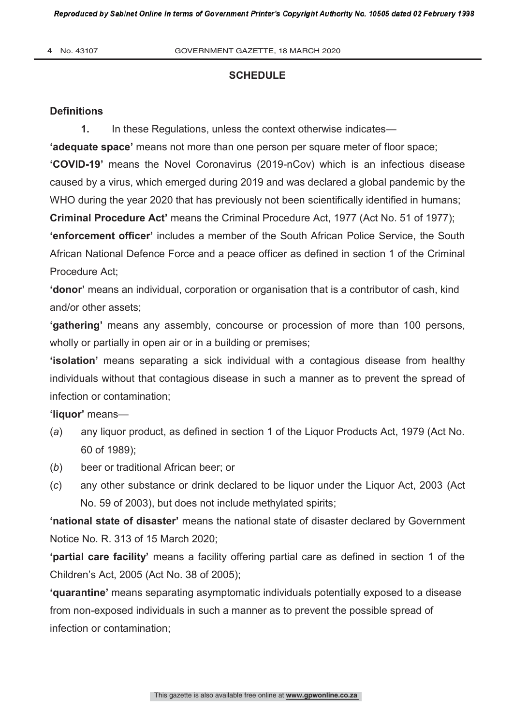#### **SCHEDULE**

#### **Definitions**

1. In these Regulations, unless the context otherwise indicates—

**'adequate space'** means not more than one person per square meter of floor space;

**'COVID-19'** means the Novel Coronavirus (2019-nCov) which is an infectious disease caused by a virus, which emerged during 2019 and was declared a global pandemic by the WHO during the year 2020 that has previously not been scientifically identified in humans;

**Criminal Procedure Act'** means the Criminal Procedure Act, 1977 (Act No. 51 of 1977);

**'enforcement officer'** includes a member of the South African Police Service, the South African National Defence Force and a peace officer as defined in section 1 of the Criminal Procedure Act;

**'donor'** means an individual, corporation or organisation that is a contributor of cash, kind and/or other assets;

**'gathering'** means any assembly, concourse or procession of more than 100 persons, wholly or partially in open air or in a building or premises;

**'isolation'** means separating a sick individual with a contagious disease from healthy individuals without that contagious disease in such a manner as to prevent the spread of infection or contamination;

**'liquor'** means—

- (*a*) any liquor product, as defined in section 1 of the Liquor Products Act, 1979 (Act No. 60 of 1989);
- (*b*) beer or traditional African beer; or
- (*c*) any other substance or drink declared to be liquor under the Liquor Act, 2003 (Act No. 59 of 2003), but does not include methylated spirits;

**'national state of disaster'** means the national state of disaster declared by Government Notice No. R. 313 of 15 March 2020;

**'partial care facility'** means a facility offering partial care as defined in section 1 of the Children's Act, 2005 (Act No. 38 of 2005);

**'quarantine'** means separating asymptomatic individuals potentially exposed to a disease from non-exposed individuals in such a manner as to prevent the possible spread of infection or contamination;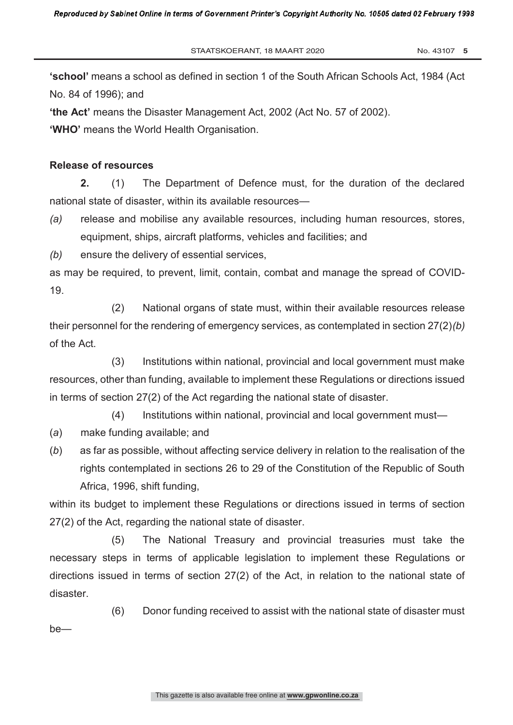**'school'** means a school as defined in section 1 of the South African Schools Act, 1984 (Act No. 84 of 1996); and

**'the Act'** means the Disaster Management Act, 2002 (Act No. 57 of 2002).

**'WHO'** means the World Health Organisation.

## **Release of resources**

**2.** (1) The Department of Defence must, for the duration of the declared national state of disaster, within its available resources—

*(a)* release and mobilise any available resources, including human resources, stores, equipment, ships, aircraft platforms, vehicles and facilities; and

*(b)* ensure the delivery of essential services,

as may be required, to prevent, limit, contain, combat and manage the spread of COVID-19.

(2) National organs of state must, within their available resources release their personnel for the rendering of emergency services, as contemplated in section 27(2)*(b)*  of the Act.

(3) Institutions within national, provincial and local government must make resources, other than funding, available to implement these Regulations or directions issued in terms of section 27(2) of the Act regarding the national state of disaster.

(4) Institutions within national, provincial and local government must—

- (*a*) make funding available; and
- (*b*) as far as possible, without affecting service delivery in relation to the realisation of the rights contemplated in sections 26 to 29 of the Constitution of the Republic of South Africa, 1996, shift funding,

within its budget to implement these Regulations or directions issued in terms of section 27(2) of the Act, regarding the national state of disaster.

(5) The National Treasury and provincial treasuries must take the necessary steps in terms of applicable legislation to implement these Regulations or directions issued in terms of section 27(2) of the Act, in relation to the national state of disaster.

(6) Donor funding received to assist with the national state of disaster must be—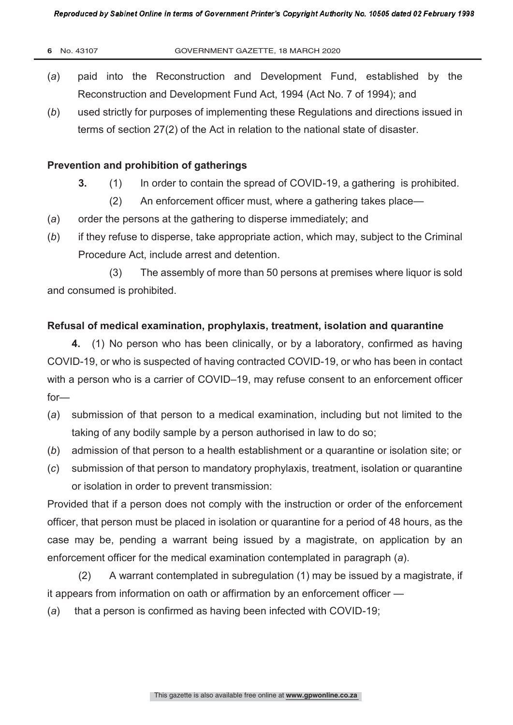- (*a*) paid into the Reconstruction and Development Fund, established by the Reconstruction and Development Fund Act, 1994 (Act No. 7 of 1994); and
- (*b*) used strictly for purposes of implementing these Regulations and directions issued in terms of section 27(2) of the Act in relation to the national state of disaster.

## **Prevention and prohibition of gatherings**

- **3.** (1) In order to contain the spread of COVID-19, a gathering is prohibited.
	- (2) An enforcement officer must, where a gathering takes place—
- (*a*) order the persons at the gathering to disperse immediately; and
- (*b*) if they refuse to disperse, take appropriate action, which may, subject to the Criminal Procedure Act, include arrest and detention.

(3) The assembly of more than 50 persons at premises where liquor is sold and consumed is prohibited.

## **Refusal of medical examination, prophylaxis, treatment, isolation and quarantine**

**4.** (1) No person who has been clinically, or by a laboratory, confirmed as having COVID-19, or who is suspected of having contracted COVID-19, or who has been in contact with a person who is a carrier of COVID–19, may refuse consent to an enforcement officer for—

- (*a*) submission of that person to a medical examination, including but not limited to the taking of any bodily sample by a person authorised in law to do so;
- (*b*) admission of that person to a health establishment or a quarantine or isolation site; or
- (*c*) submission of that person to mandatory prophylaxis, treatment, isolation or quarantine or isolation in order to prevent transmission:

Provided that if a person does not comply with the instruction or order of the enforcement officer, that person must be placed in isolation or quarantine for a period of 48 hours, as the case may be, pending a warrant being issued by a magistrate, on application by an enforcement officer for the medical examination contemplated in paragraph (*a*).

 (2) A warrant contemplated in subregulation (1) may be issued by a magistrate, if it appears from information on oath or affirmation by an enforcement officer —

(*a*) that a person is confirmed as having been infected with COVID-19;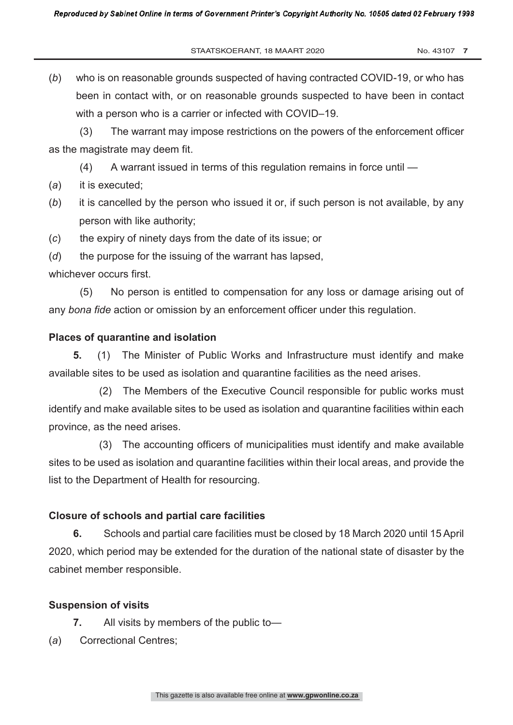STAATSKOERANT, 18 MAART 2020 No. 43107 7

(*b*) who is on reasonable grounds suspected of having contracted COVID-19, or who has been in contact with, or on reasonable grounds suspected to have been in contact with a person who is a carrier or infected with COVID–19.

 (3) The warrant may impose restrictions on the powers of the enforcement officer as the magistrate may deem fit.

- (4) A warrant issued in terms of this regulation remains in force until —
- (*a*) it is executed;
- (*b*) it is cancelled by the person who issued it or, if such person is not available, by any person with like authority;
- (*c*) the expiry of ninety days from the date of its issue; or
- (*d*) the purpose for the issuing of the warrant has lapsed,

whichever occurs first.

 (5) No person is entitled to compensation for any loss or damage arising out of any *bona fide* action or omission by an enforcement officer under this regulation.

## **Places of quarantine and isolation**

**5.** (1) The Minister of Public Works and Infrastructure must identify and make available sites to be used as isolation and quarantine facilities as the need arises.

(2) The Members of the Executive Council responsible for public works must identify and make available sites to be used as isolation and quarantine facilities within each province, as the need arises.

(3) The accounting officers of municipalities must identify and make available sites to be used as isolation and quarantine facilities within their local areas, and provide the list to the Department of Health for resourcing.

### **Closure of schools and partial care facilities**

 **6.** Schools and partial care facilities must be closed by 18 March 2020 until 15 April 2020, which period may be extended for the duration of the national state of disaster by the cabinet member responsible.

### **Suspension of visits**

- **7.** All visits by members of the public to—
- (*a*) Correctional Centres;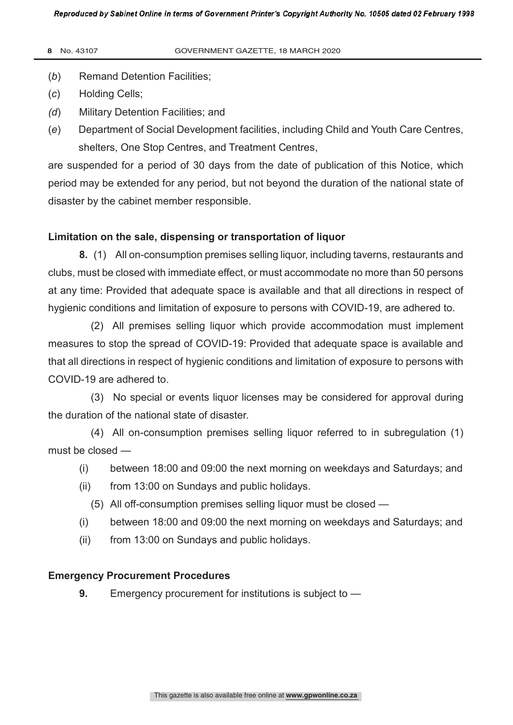- (*b*) Remand Detention Facilities;
- (*c*) Holding Cells;
- *(d*) Military Detention Facilities; and
- (*e*) Department of Social Development facilities, including Child and Youth Care Centres, shelters, One Stop Centres, and Treatment Centres,

are suspended for a period of 30 days from the date of publication of this Notice, which period may be extended for any period, but not beyond the duration of the national state of disaster by the cabinet member responsible.

## **Limitation on the sale, dispensing or transportation of liquor**

**8.** (1) All on-consumption premises selling liquor, including taverns, restaurants and clubs, must be closed with immediate effect, or must accommodate no more than 50 persons at any time: Provided that adequate space is available and that all directions in respect of hygienic conditions and limitation of exposure to persons with COVID-19, are adhered to.

 (2) All premises selling liquor which provide accommodation must implement measures to stop the spread of COVID-19: Provided that adequate space is available and that all directions in respect of hygienic conditions and limitation of exposure to persons with COVID-19 are adhered to.

(3) No special or events liquor licenses may be considered for approval during the duration of the national state of disaster.

(4) All on-consumption premises selling liquor referred to in subregulation (1) must be closed —

- (i) between 18:00 and 09:00 the next morning on weekdays and Saturdays; and
- (ii) from 13:00 on Sundays and public holidays.
	- (5) All off-consumption premises selling liquor must be closed —
- (i) between 18:00 and 09:00 the next morning on weekdays and Saturdays; and
- (ii) from 13:00 on Sundays and public holidays.

## **Emergency Procurement Procedures**

**9.** Emergency procurement for institutions is subject to —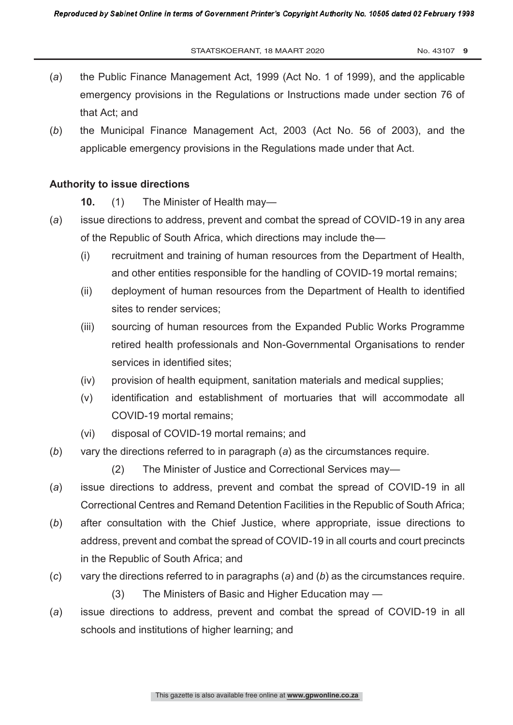- (*a*) the Public Finance Management Act, 1999 (Act No. 1 of 1999), and the applicable emergency provisions in the Regulations or Instructions made under section 76 of that Act; and
- (*b*) the Municipal Finance Management Act, 2003 (Act No. 56 of 2003), and the applicable emergency provisions in the Regulations made under that Act.

### **Authority to issue directions**

- **10.** (1) The Minister of Health may—
- (*a*) issue directions to address, prevent and combat the spread of COVID-19 in any area of the Republic of South Africa, which directions may include the—
	- (i) recruitment and training of human resources from the Department of Health, and other entities responsible for the handling of COVID-19 mortal remains;
	- (ii) deployment of human resources from the Department of Health to identified sites to render services;
	- (iii) sourcing of human resources from the Expanded Public Works Programme retired health professionals and Non-Governmental Organisations to render services in identified sites;
	- (iv) provision of health equipment, sanitation materials and medical supplies;
	- (v) identification and establishment of mortuaries that will accommodate all COVID-19 mortal remains;
	- (vi) disposal of COVID-19 mortal remains; and
- (*b*) vary the directions referred to in paragraph (*a*) as the circumstances require.
	- (2) The Minister of Justice and Correctional Services may—
- (*a*) issue directions to address, prevent and combat the spread of COVID-19 in all Correctional Centres and Remand Detention Facilities in the Republic of South Africa;
- (*b*) after consultation with the Chief Justice, where appropriate, issue directions to address, prevent and combat the spread of COVID-19 in all courts and court precincts in the Republic of South Africa; and
- (*c*) vary the directions referred to in paragraphs (*a*) and (*b*) as the circumstances require.
	- (3) The Ministers of Basic and Higher Education may —
- (*a*) issue directions to address, prevent and combat the spread of COVID-19 in all schools and institutions of higher learning; and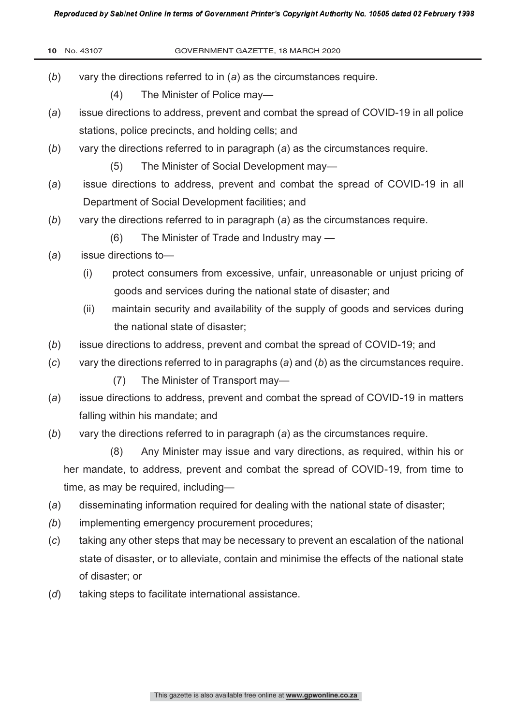Reproduced by Sabinet Online in terms of Government Printer's Copyright Authority No. 10505 dated 02 February 1998

|                                                                                  | 10 No. 43107                                                                        | GOVERNMENT GAZETTE, 18 MARCH 2020                                                           |  |
|----------------------------------------------------------------------------------|-------------------------------------------------------------------------------------|---------------------------------------------------------------------------------------------|--|
| (b)                                                                              | vary the directions referred to in $(a)$ as the circumstances require.              |                                                                                             |  |
|                                                                                  | (4)                                                                                 | The Minister of Police may-                                                                 |  |
| (a)                                                                              |                                                                                     | issue directions to address, prevent and combat the spread of COVID-19 in all police        |  |
|                                                                                  | stations, police precincts, and holding cells; and                                  |                                                                                             |  |
| (b)                                                                              |                                                                                     | vary the directions referred to in paragraph (a) as the circumstances require.              |  |
|                                                                                  | (5)                                                                                 | The Minister of Social Development may-                                                     |  |
| (a)                                                                              | issue directions to address, prevent and combat the spread of COVID-19 in all       |                                                                                             |  |
|                                                                                  |                                                                                     | Department of Social Development facilities; and                                            |  |
| (b)                                                                              |                                                                                     | vary the directions referred to in paragraph (a) as the circumstances require.              |  |
|                                                                                  | (6)                                                                                 | The Minister of Trade and Industry may —                                                    |  |
| (a)                                                                              |                                                                                     | issue directions to-                                                                        |  |
|                                                                                  | (i)                                                                                 | protect consumers from excessive, unfair, unreasonable or unjust pricing of                 |  |
|                                                                                  |                                                                                     | goods and services during the national state of disaster; and                               |  |
|                                                                                  | (ii)                                                                                | maintain security and availability of the supply of goods and services during               |  |
|                                                                                  |                                                                                     | the national state of disaster;                                                             |  |
| (b)                                                                              | issue directions to address, prevent and combat the spread of COVID-19; and         |                                                                                             |  |
| (c)                                                                              |                                                                                     | vary the directions referred to in paragraphs $(a)$ and $(b)$ as the circumstances require. |  |
|                                                                                  | (7)                                                                                 | The Minister of Transport may-                                                              |  |
| (a)                                                                              | issue directions to address, prevent and combat the spread of COVID-19 in matters   |                                                                                             |  |
|                                                                                  | falling within his mandate; and                                                     |                                                                                             |  |
| (b)                                                                              |                                                                                     | vary the directions referred to in paragraph (a) as the circumstances require.              |  |
|                                                                                  | (8)                                                                                 | Any Minister may issue and vary directions, as required, within his or                      |  |
| her mandate, to address, prevent and combat the spread of COVID-19, from time to |                                                                                     |                                                                                             |  |
|                                                                                  | time, as may be required, including-                                                |                                                                                             |  |
| (a)                                                                              | disseminating information required for dealing with the national state of disaster; |                                                                                             |  |
| (b)                                                                              | implementing emergency procurement procedures;                                      |                                                                                             |  |
| (c)                                                                              |                                                                                     | taking any other steps that may be necessary to prevent an escalation of the national       |  |
|                                                                                  |                                                                                     | state of disaster, or to alleviate, contain and minimise the effects of the national state  |  |
|                                                                                  | of disaster; or                                                                     |                                                                                             |  |
| (d)                                                                              | taking steps to facilitate international assistance.                                |                                                                                             |  |
|                                                                                  |                                                                                     |                                                                                             |  |
|                                                                                  |                                                                                     |                                                                                             |  |
|                                                                                  |                                                                                     |                                                                                             |  |
|                                                                                  |                                                                                     |                                                                                             |  |